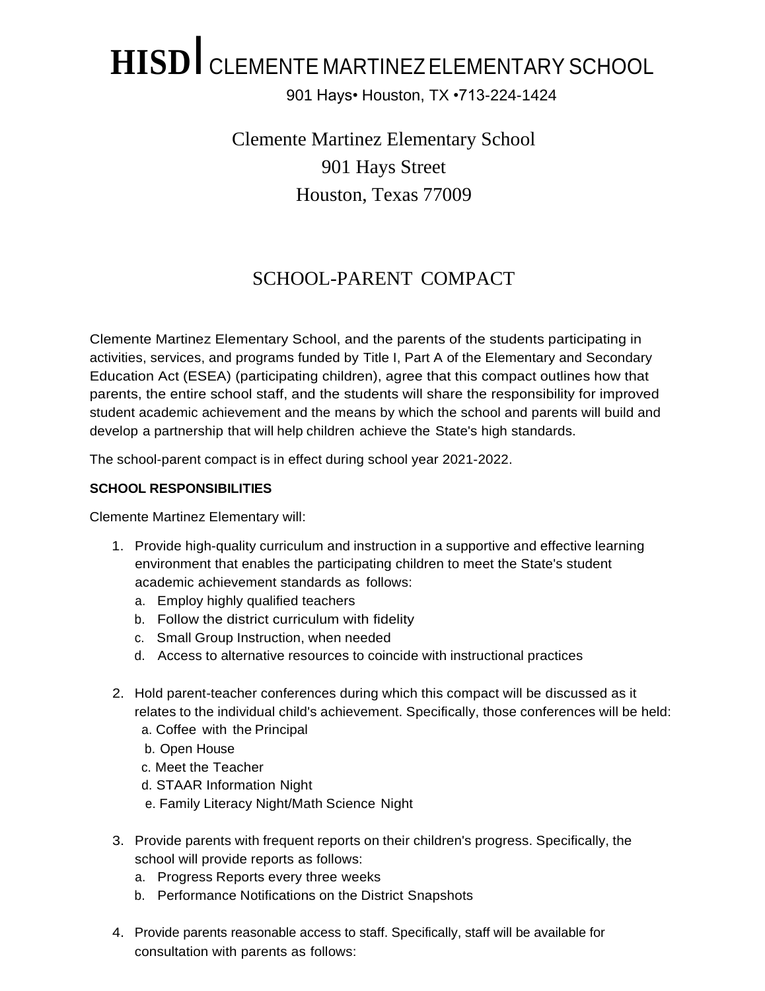## **HISD**I CLEMENTE MARTINEZELEMENTARY SCHOOL

901 Hays• Houston, TX •713-224-1424

Clemente Martinez Elementary School 901 Hays Street Houston, Texas 77009

### SCHOOL-PARENT COMPACT

Clemente Martinez Elementary School, and the parents of the students participating in activities, services, and programs funded by Title I, Part A of the Elementary and Secondary Education Act (ESEA) (participating children), agree that this compact outlines how that parents, the entire school staff, and the students will share the responsibility for improved student academic achievement and the means by which the school and parents will build and develop a partnership that will help children achieve the State's high standards.

The school-parent compact is in effect during school year 2021-2022.

#### **SCHOOL RESPONSIBILITIES**

Clemente Martinez Elementary will:

- 1. Provide high-quality curriculum and instruction in a supportive and effective learning environment that enables the participating children to meet the State's student academic achievement standards as follows:
	- a. Employ highly qualified teachers
	- b. Follow the district curriculum with fidelity
	- c. Small Group Instruction, when needed
	- d. Access to alternative resources to coincide with instructional practices
- 2. Hold parent-teacher conferences during which this compact will be discussed as it relates to the individual child's achievement. Specifically, those conferences will be held:
	- a. Coffee with the Principal
	- b. Open House
	- c. Meet the Teacher
	- d. STAAR Information Night
	- e. Family Literacy Night/Math Science Night
- 3. Provide parents with frequent reports on their children's progress. Specifically, the school will provide reports as follows:
	- a. Progress Reports every three weeks
	- b. Performance Notifications on the District Snapshots
- 4. Provide parents reasonable access to staff. Specifically, staff will be available for consultation with parents as follows: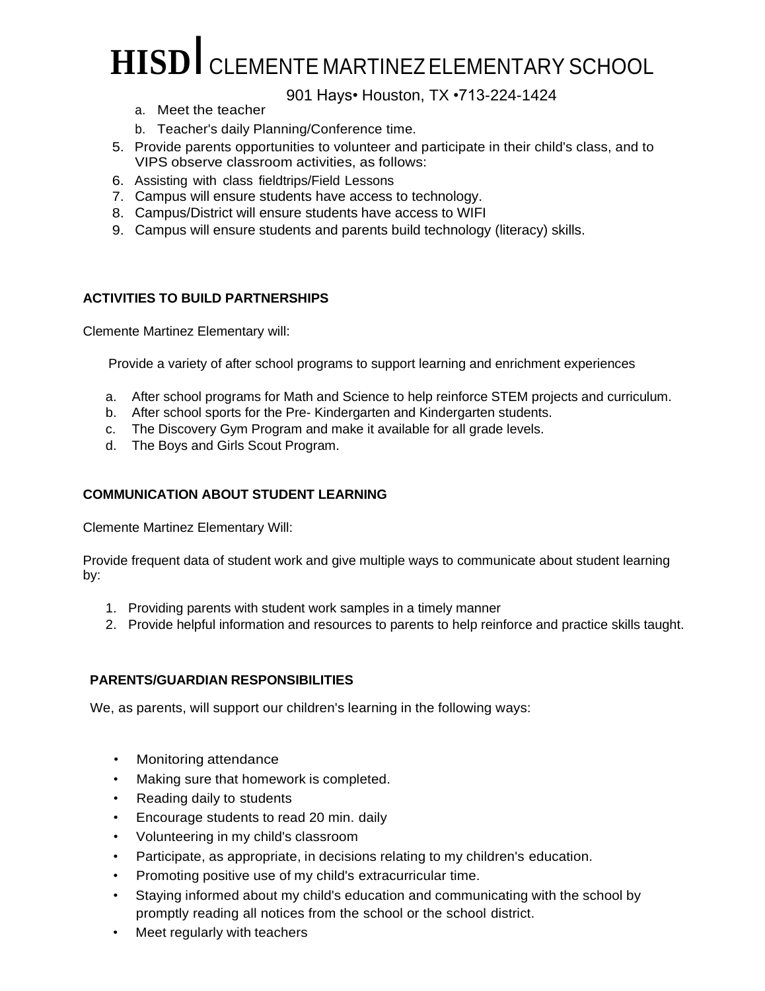# **HISD**I CLEMENTE MARTINEZELEMENTARY SCHOOL

901 Hays• Houston, TX •713-224-1424

- a. Meet the teacher
- b. Teacher's daily Planning/Conference time.
- 5. Provide parents opportunities to volunteer and participate in their child's class, and to VIPS observe classroom activities, as follows:
- 6. Assisting with class fieldtrips/Field Lessons
- 7. Campus will ensure students have access to technology.
- 8. Campus/District will ensure students have access to WIFI
- 9. Campus will ensure students and parents build technology (literacy) skills.

#### **ACTIVITIES TO BUILD PARTNERSHIPS**

Clemente Martinez Elementary will:

Provide a variety of after school programs to support learning and enrichment experiences

- a. After school programs for Math and Science to help reinforce STEM projects and curriculum.
- b. After school sports for the Pre- Kindergarten and Kindergarten students.
- c. The Discovery Gym Program and make it available for all grade levels.
- d. The Boys and Girls Scout Program.

#### **COMMUNICATION ABOUT STUDENT LEARNING**

Clemente Martinez Elementary Will:

Provide frequent data of student work and give multiple ways to communicate about student learning by:

- 1. Providing parents with student work samples in a timely manner
- 2. Provide helpful information and resources to parents to help reinforce and practice skills taught.

#### **PARENTS/GUARDIAN RESPONSIBILITIES**

We, as parents, will support our children's learning in the following ways:

- Monitoring attendance
- Making sure that homework is completed.
- Reading daily to students
- Encourage students to read 20 min. daily
- Volunteering in my child's classroom
- Participate, as appropriate, in decisions relating to my children's education.
- Promoting positive use of my child's extracurricular time.
- Staying informed about my child's education and communicating with the school by promptly reading all notices from the school or the school district.
- Meet regularly with teachers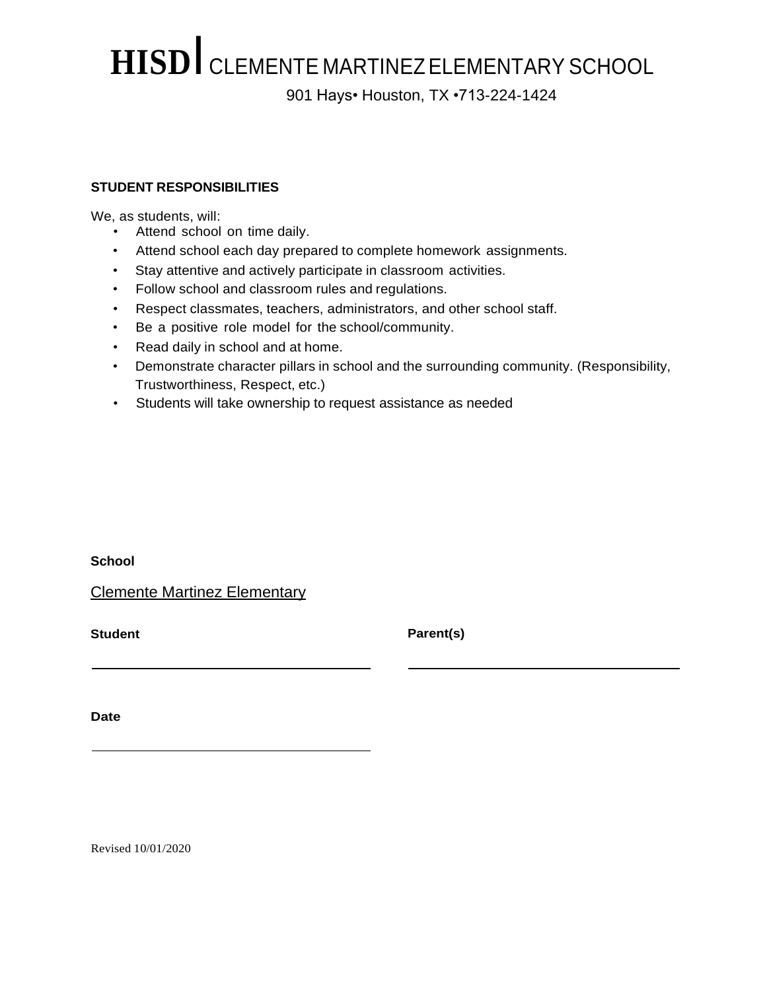### **HISD**I CLEMENTE MARTINEZELEMENTARY SCHOOL 901 Hays• Houston, TX •713-224-1424

#### **STUDENT RESPONSIBILITIES**

We, as students, will:

- Attend school on time daily.
- Attend school each day prepared to complete homework assignments.
- Stay attentive and actively participate in classroom activities.
- Follow school and classroom rules and regulations.
- Respect classmates, teachers, administrators, and other school staff.
- Be a positive role model for the school/community.
- Read daily in school and at home.
- Demonstrate character pillars in school and the surrounding community. (Responsibility, Trustworthiness, Respect, etc.)
- Students will take ownership to request assistance as needed

**School**

Clemente Martinez Elementary

**Student Parent(s)**

**Date**

Revised 10/01/2020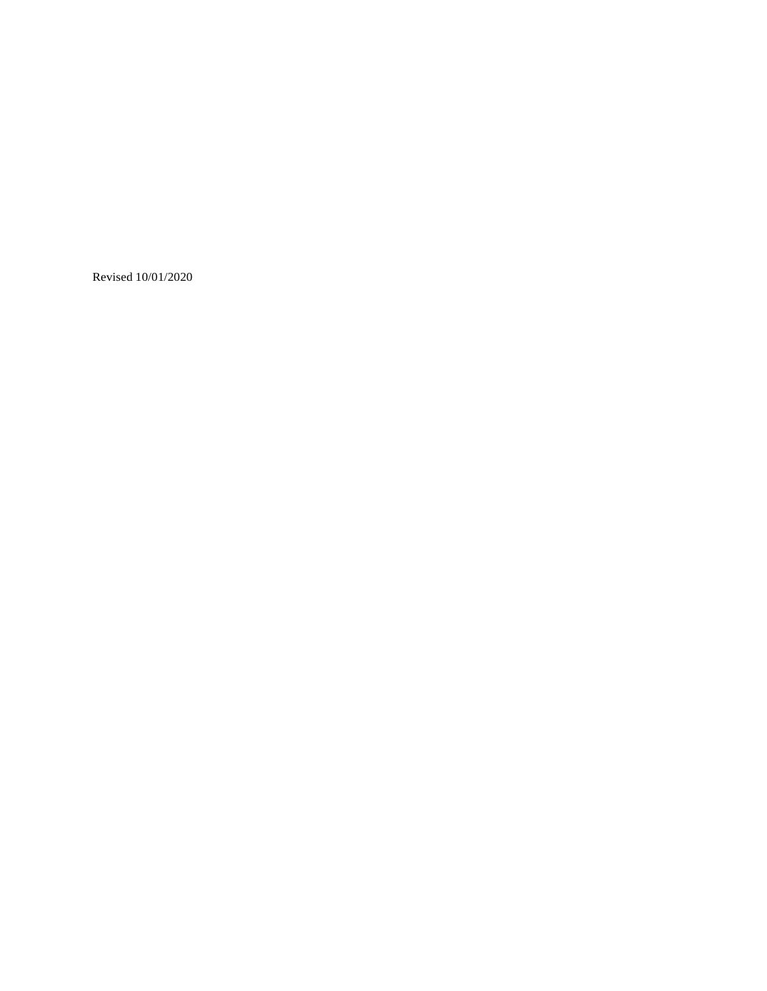Revised 10/01/2020